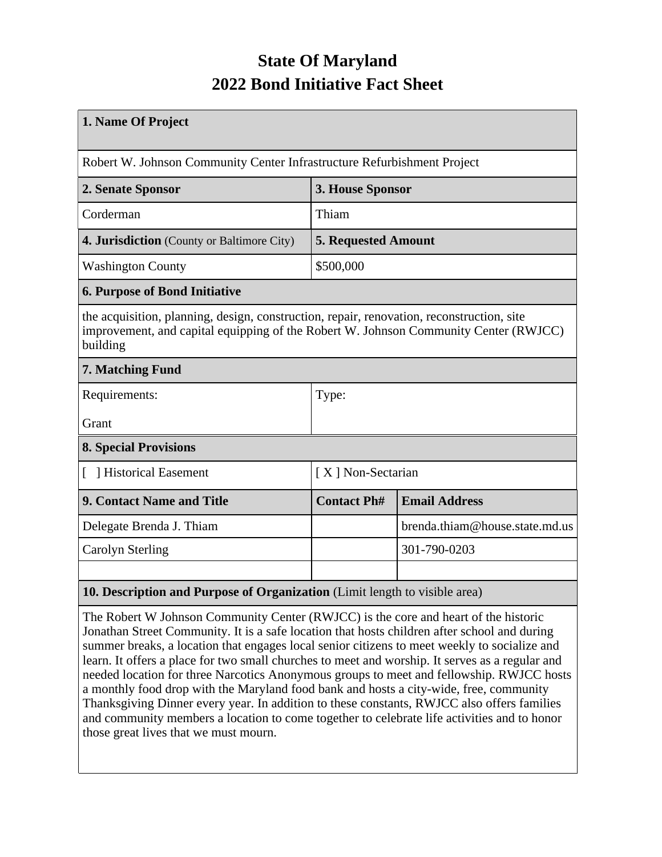## **State Of Maryland 2022 Bond Initiative Fact Sheet**

| 1. Name Of Project                                                                                                                                                                            |                            |                                |  |  |  |
|-----------------------------------------------------------------------------------------------------------------------------------------------------------------------------------------------|----------------------------|--------------------------------|--|--|--|
| Robert W. Johnson Community Center Infrastructure Refurbishment Project                                                                                                                       |                            |                                |  |  |  |
| 2. Senate Sponsor                                                                                                                                                                             | 3. House Sponsor           |                                |  |  |  |
| Corderman                                                                                                                                                                                     | Thiam                      |                                |  |  |  |
| 4. Jurisdiction (County or Baltimore City)                                                                                                                                                    | <b>5. Requested Amount</b> |                                |  |  |  |
| <b>Washington County</b>                                                                                                                                                                      | \$500,000                  |                                |  |  |  |
| <b>6. Purpose of Bond Initiative</b>                                                                                                                                                          |                            |                                |  |  |  |
| the acquisition, planning, design, construction, repair, renovation, reconstruction, site<br>improvement, and capital equipping of the Robert W. Johnson Community Center (RWJCC)<br>building |                            |                                |  |  |  |
| 7. Matching Fund                                                                                                                                                                              |                            |                                |  |  |  |
| Requirements:                                                                                                                                                                                 | Type:                      |                                |  |  |  |
| Grant                                                                                                                                                                                         |                            |                                |  |  |  |
| <b>8. Special Provisions</b>                                                                                                                                                                  |                            |                                |  |  |  |
| Historical Easement                                                                                                                                                                           | [X] Non-Sectarian          |                                |  |  |  |
| 9. Contact Name and Title                                                                                                                                                                     | <b>Contact Ph#</b>         | <b>Email Address</b>           |  |  |  |
| Delegate Brenda J. Thiam                                                                                                                                                                      |                            | brenda.thiam@house.state.md.us |  |  |  |
| <b>Carolyn Sterling</b>                                                                                                                                                                       |                            | 301-790-0203                   |  |  |  |
|                                                                                                                                                                                               |                            |                                |  |  |  |
| 10. Description and Purpose of Organization (Limit length to visible area)                                                                                                                    |                            |                                |  |  |  |

The Robert W Johnson Community Center (RWJCC) is the core and heart of the historic Jonathan Street Community. It is a safe location that hosts children after school and during summer breaks, a location that engages local senior citizens to meet weekly to socialize and learn. It offers a place for two small churches to meet and worship. It serves as a regular and needed location for three Narcotics Anonymous groups to meet and fellowship. RWJCC hosts a monthly food drop with the Maryland food bank and hosts a city-wide, free, community Thanksgiving Dinner every year. In addition to these constants, RWJCC also offers families and community members a location to come together to celebrate life activities and to honor those great lives that we must mourn.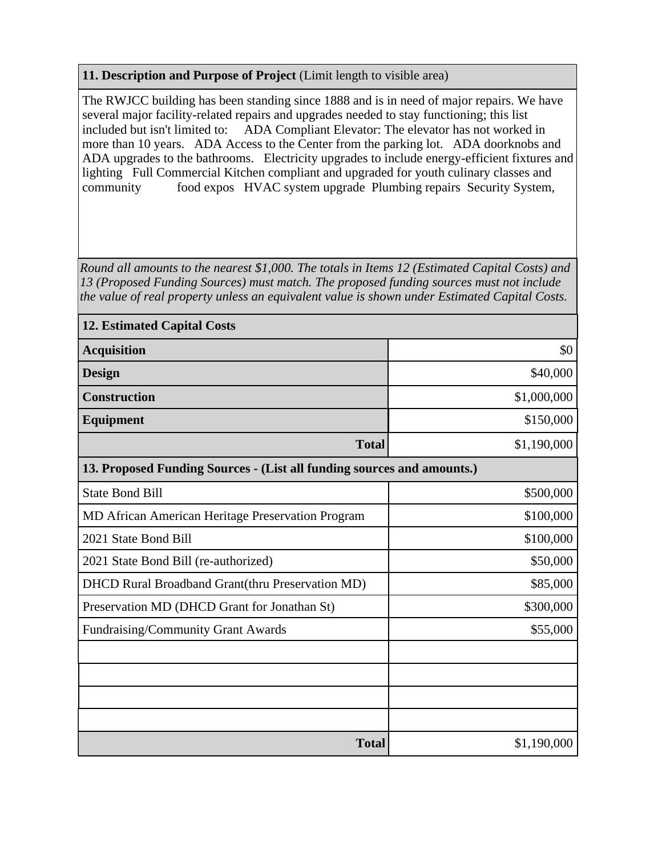## **11. Description and Purpose of Project** (Limit length to visible area)

The RWJCC building has been standing since 1888 and is in need of major repairs. We have several major facility-related repairs and upgrades needed to stay functioning; this list included but isn't limited to: ADA Compliant Elevator: The elevator has not worked in more than 10 years. ADA Access to the Center from the parking lot. ADA doorknobs and ADA upgrades to the bathrooms. Electricity upgrades to include energy-efficient fixtures and lighting Full Commercial Kitchen compliant and upgraded for youth culinary classes and community food expos HVAC system upgrade Plumbing repairs Security System,

*Round all amounts to the nearest \$1,000. The totals in Items 12 (Estimated Capital Costs) and 13 (Proposed Funding Sources) must match. The proposed funding sources must not include the value of real property unless an equivalent value is shown under Estimated Capital Costs.*

| <b>12. Estimated Capital Costs</b>                                     |             |  |  |  |  |
|------------------------------------------------------------------------|-------------|--|--|--|--|
| <b>Acquisition</b>                                                     | \$0         |  |  |  |  |
| <b>Design</b>                                                          | \$40,000    |  |  |  |  |
| <b>Construction</b>                                                    | \$1,000,000 |  |  |  |  |
| Equipment                                                              | \$150,000   |  |  |  |  |
| <b>Total</b>                                                           | \$1,190,000 |  |  |  |  |
| 13. Proposed Funding Sources - (List all funding sources and amounts.) |             |  |  |  |  |
| <b>State Bond Bill</b>                                                 | \$500,000   |  |  |  |  |
| MD African American Heritage Preservation Program                      | \$100,000   |  |  |  |  |
| 2021 State Bond Bill                                                   | \$100,000   |  |  |  |  |
| 2021 State Bond Bill (re-authorized)                                   | \$50,000    |  |  |  |  |
| DHCD Rural Broadband Grant(thru Preservation MD)                       | \$85,000    |  |  |  |  |
| Preservation MD (DHCD Grant for Jonathan St)                           | \$300,000   |  |  |  |  |
| Fundraising/Community Grant Awards                                     | \$55,000    |  |  |  |  |
|                                                                        |             |  |  |  |  |
|                                                                        |             |  |  |  |  |
|                                                                        |             |  |  |  |  |
|                                                                        |             |  |  |  |  |
| <b>Total</b>                                                           | \$1,190,000 |  |  |  |  |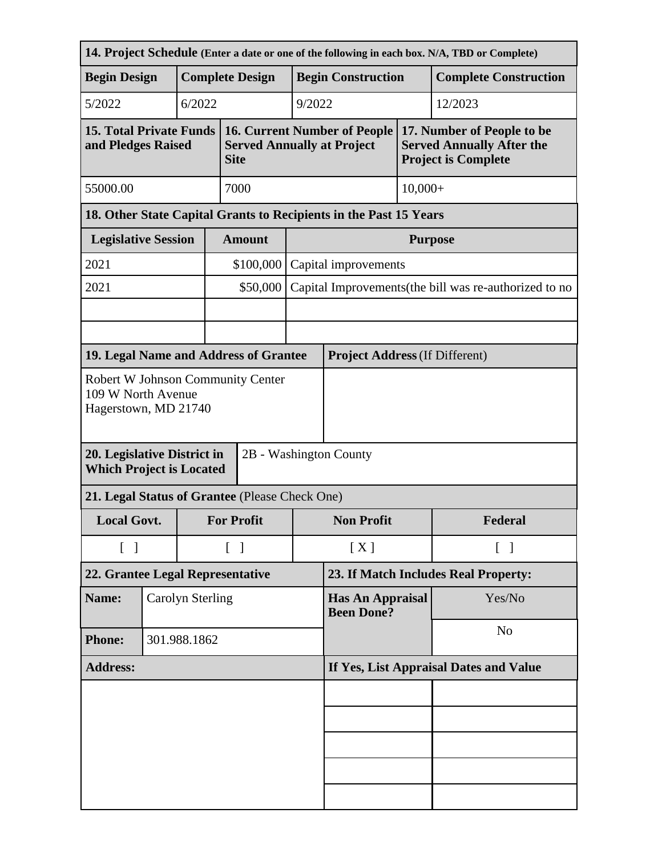|                                                                                          |  |                        |                                        |                                                                                         |                                                        |                                       |         | 14. Project Schedule (Enter a date or one of the following in each box. N/A, TBD or Complete) |  |
|------------------------------------------------------------------------------------------|--|------------------------|----------------------------------------|-----------------------------------------------------------------------------------------|--------------------------------------------------------|---------------------------------------|---------|-----------------------------------------------------------------------------------------------|--|
| <b>Begin Design</b>                                                                      |  | <b>Complete Design</b> |                                        |                                                                                         | <b>Begin Construction</b>                              |                                       |         | <b>Complete Construction</b>                                                                  |  |
| 5/2022                                                                                   |  | 6/2022                 | 9/2022                                 |                                                                                         |                                                        | 12/2023                               |         |                                                                                               |  |
| <b>15. Total Private Funds</b><br>and Pledges Raised                                     |  |                        |                                        | <b>16. Current Number of People</b><br><b>Served Annually at Project</b><br><b>Site</b> |                                                        |                                       |         | 17. Number of People to be<br><b>Served Annually After the</b><br><b>Project is Complete</b>  |  |
| 55000.00                                                                                 |  |                        | 7000                                   |                                                                                         | $10,000+$                                              |                                       |         |                                                                                               |  |
| 18. Other State Capital Grants to Recipients in the Past 15 Years                        |  |                        |                                        |                                                                                         |                                                        |                                       |         |                                                                                               |  |
| <b>Legislative Session</b>                                                               |  |                        |                                        | <b>Amount</b>                                                                           |                                                        | <b>Purpose</b>                        |         |                                                                                               |  |
| 2021                                                                                     |  |                        |                                        | \$100,000                                                                               |                                                        | Capital improvements                  |         |                                                                                               |  |
| 2021                                                                                     |  |                        | \$50,000                               |                                                                                         | Capital Improvements (the bill was re-authorized to no |                                       |         |                                                                                               |  |
|                                                                                          |  |                        |                                        |                                                                                         |                                                        |                                       |         |                                                                                               |  |
|                                                                                          |  |                        |                                        |                                                                                         |                                                        |                                       |         |                                                                                               |  |
| 19. Legal Name and Address of Grantee                                                    |  |                        |                                        |                                                                                         |                                                        | <b>Project Address (If Different)</b> |         |                                                                                               |  |
| <b>Robert W Johnson Community Center</b><br>109 W North Avenue<br>Hagerstown, MD 21740   |  |                        |                                        |                                                                                         |                                                        |                                       |         |                                                                                               |  |
| 20. Legislative District in<br>2B - Washington County<br><b>Which Project is Located</b> |  |                        |                                        |                                                                                         |                                                        |                                       |         |                                                                                               |  |
| 21. Legal Status of Grantee (Please Check One)                                           |  |                        |                                        |                                                                                         |                                                        |                                       |         |                                                                                               |  |
| <b>Local Govt.</b>                                                                       |  |                        | <b>For Profit</b>                      |                                                                                         | <b>Non Profit</b>                                      |                                       | Federal |                                                                                               |  |
| $\begin{bmatrix} 1 \end{bmatrix}$                                                        |  |                        | $\lceil \; \rceil$                     |                                                                                         | [X]                                                    | $\lceil$ $\rceil$                     |         |                                                                                               |  |
| 22. Grantee Legal Representative                                                         |  |                        | 23. If Match Includes Real Property:   |                                                                                         |                                                        |                                       |         |                                                                                               |  |
| Name:                                                                                    |  | Carolyn Sterling       |                                        |                                                                                         | <b>Has An Appraisal</b><br><b>Been Done?</b>           |                                       | Yes/No  |                                                                                               |  |
| <b>Phone:</b>                                                                            |  | 301.988.1862           |                                        |                                                                                         |                                                        |                                       |         | N <sub>o</sub>                                                                                |  |
| <b>Address:</b>                                                                          |  |                        | If Yes, List Appraisal Dates and Value |                                                                                         |                                                        |                                       |         |                                                                                               |  |
|                                                                                          |  |                        |                                        |                                                                                         |                                                        |                                       |         |                                                                                               |  |
|                                                                                          |  |                        |                                        |                                                                                         |                                                        |                                       |         |                                                                                               |  |
|                                                                                          |  |                        |                                        |                                                                                         |                                                        |                                       |         |                                                                                               |  |
|                                                                                          |  |                        |                                        |                                                                                         |                                                        |                                       |         |                                                                                               |  |
|                                                                                          |  |                        |                                        |                                                                                         |                                                        |                                       |         |                                                                                               |  |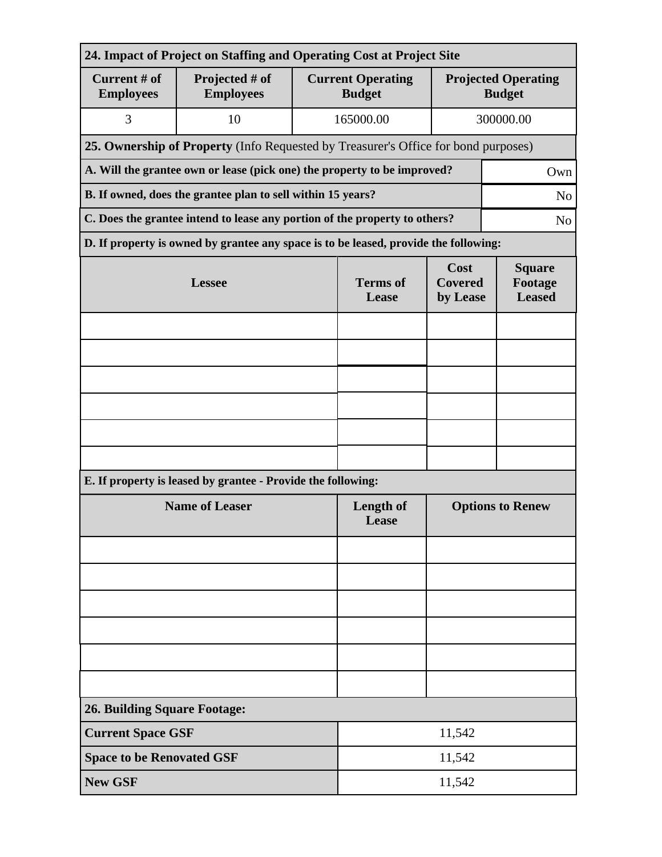| 24. Impact of Project on Staffing and Operating Cost at Project Site                         |                                                                                      |                          |                                           |                                           |                                             |  |  |
|----------------------------------------------------------------------------------------------|--------------------------------------------------------------------------------------|--------------------------|-------------------------------------------|-------------------------------------------|---------------------------------------------|--|--|
| Current # of<br><b>Employees</b>                                                             | Projected # of<br><b>Employees</b>                                                   |                          | <b>Current Operating</b><br><b>Budget</b> |                                           | <b>Projected Operating</b><br><b>Budget</b> |  |  |
| 3                                                                                            | 10                                                                                   |                          | 165000.00                                 | 300000.00                                 |                                             |  |  |
| 25. Ownership of Property (Info Requested by Treasurer's Office for bond purposes)           |                                                                                      |                          |                                           |                                           |                                             |  |  |
| A. Will the grantee own or lease (pick one) the property to be improved?<br>Own              |                                                                                      |                          |                                           |                                           |                                             |  |  |
| B. If owned, does the grantee plan to sell within 15 years?<br>N <sub>o</sub>                |                                                                                      |                          |                                           |                                           |                                             |  |  |
| C. Does the grantee intend to lease any portion of the property to others?<br>N <sub>o</sub> |                                                                                      |                          |                                           |                                           |                                             |  |  |
|                                                                                              | D. If property is owned by grantee any space is to be leased, provide the following: |                          |                                           |                                           |                                             |  |  |
|                                                                                              | <b>Lessee</b>                                                                        | <b>Terms</b> of<br>Lease | Cost<br><b>Covered</b><br>by Lease        | <b>Square</b><br>Footage<br><b>Leased</b> |                                             |  |  |
|                                                                                              |                                                                                      |                          |                                           |                                           |                                             |  |  |
|                                                                                              |                                                                                      |                          |                                           |                                           |                                             |  |  |
|                                                                                              |                                                                                      |                          |                                           |                                           |                                             |  |  |
|                                                                                              |                                                                                      |                          |                                           |                                           |                                             |  |  |
|                                                                                              |                                                                                      |                          |                                           |                                           |                                             |  |  |
|                                                                                              |                                                                                      |                          |                                           |                                           |                                             |  |  |
| E. If property is leased by grantee - Provide the following:                                 |                                                                                      |                          |                                           |                                           |                                             |  |  |
| <b>Name of Leaser</b>                                                                        |                                                                                      |                          | <b>Length of</b><br>Lease                 | <b>Options to Renew</b>                   |                                             |  |  |
|                                                                                              |                                                                                      |                          |                                           |                                           |                                             |  |  |
|                                                                                              |                                                                                      |                          |                                           |                                           |                                             |  |  |
|                                                                                              |                                                                                      |                          |                                           |                                           |                                             |  |  |
|                                                                                              |                                                                                      |                          |                                           |                                           |                                             |  |  |
|                                                                                              |                                                                                      |                          |                                           |                                           |                                             |  |  |
|                                                                                              |                                                                                      |                          |                                           |                                           |                                             |  |  |
| <b>26. Building Square Footage:</b>                                                          |                                                                                      |                          |                                           |                                           |                                             |  |  |
| <b>Current Space GSF</b>                                                                     |                                                                                      | 11,542                   |                                           |                                           |                                             |  |  |
| <b>Space to be Renovated GSF</b>                                                             |                                                                                      |                          | 11,542                                    |                                           |                                             |  |  |
| <b>New GSF</b>                                                                               |                                                                                      |                          | 11,542                                    |                                           |                                             |  |  |